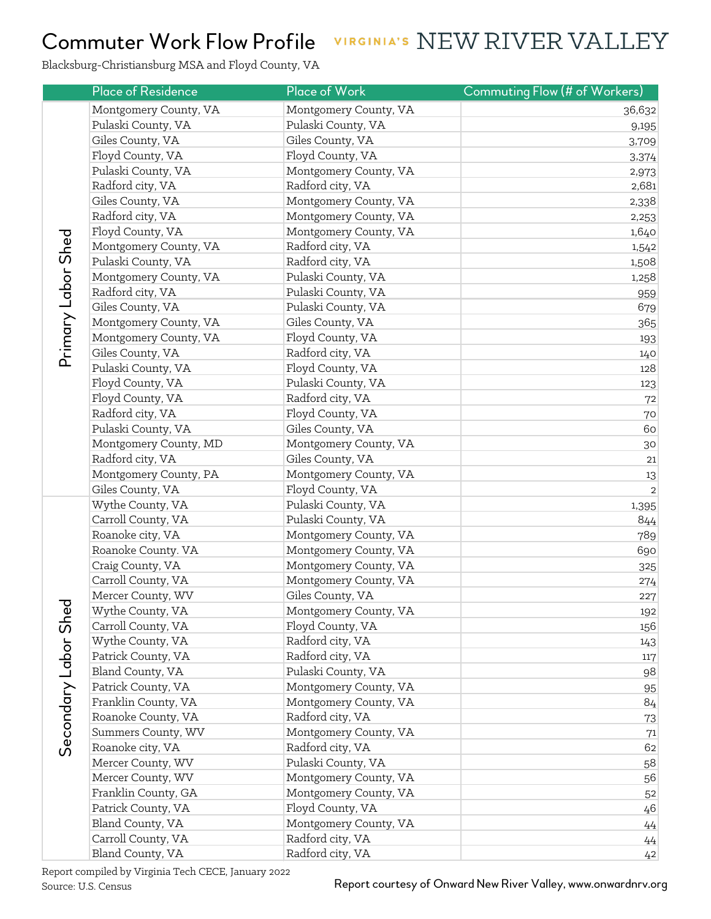## VIRGINIA'S NEW RIVER VALLEY Commuter Work Flow Profile

Blacksburg-Christiansburg MSA and Floyd County, VA

|                      | <b>Place of Residence</b> | <b>Place of Work</b>  | Commuting Flow (# of Workers) |
|----------------------|---------------------------|-----------------------|-------------------------------|
| Primary Labor Shed   | Montgomery County, VA     | Montgomery County, VA | 36,632                        |
|                      | Pulaski County, VA        | Pulaski County, VA    | 9,195                         |
|                      | Giles County, VA          | Giles County, VA      | 3,709                         |
|                      | Floyd County, VA          | Floyd County, VA      | 3,374                         |
|                      | Pulaski County, VA        | Montgomery County, VA | 2,973                         |
|                      | Radford city, VA          | Radford city, VA      | 2,681                         |
|                      | Giles County, VA          | Montgomery County, VA | 2,338                         |
|                      | Radford city, VA          | Montgomery County, VA | 2,253                         |
|                      | Floyd County, VA          | Montgomery County, VA | 1,640                         |
|                      | Montgomery County, VA     | Radford city, VA      | 1,542                         |
|                      | Pulaski County, VA        | Radford city, VA      | 1,508                         |
|                      | Montgomery County, VA     | Pulaski County, VA    | 1,258                         |
|                      | Radford city, VA          | Pulaski County, VA    | 959                           |
|                      | Giles County, VA          | Pulaski County, VA    | 679                           |
|                      | Montgomery County, VA     | Giles County, VA      | 365                           |
|                      | Montgomery County, VA     | Floyd County, VA      | 193                           |
|                      | Giles County, VA          | Radford city, VA      | 140                           |
|                      | Pulaski County, VA        | Floyd County, VA      | 128                           |
|                      | Floyd County, VA          | Pulaski County, VA    | 123                           |
|                      | Floyd County, VA          | Radford city, VA      | 72                            |
|                      | Radford city, VA          | Floyd County, VA      | 70                            |
|                      | Pulaski County, VA        | Giles County, VA      | 60                            |
|                      | Montgomery County, MD     | Montgomery County, VA | 30                            |
|                      | Radford city, VA          | Giles County, VA      | 21                            |
|                      | Montgomery County, PA     | Montgomery County, VA | 13                            |
|                      | Giles County, VA          | Floyd County, VA      | $\sqrt{2}$                    |
|                      | Wythe County, VA          | Pulaski County, VA    | 1,395                         |
|                      | Carroll County, VA        | Pulaski County, VA    | 844                           |
|                      | Roanoke city, VA          | Montgomery County, VA | 789                           |
|                      | Roanoke County. VA        | Montgomery County, VA | 690                           |
|                      | Craig County, VA          | Montgomery County, VA | 325                           |
|                      | Carroll County, VA        | Montgomery County, VA | 274                           |
|                      | Mercer County, WV         | Giles County, VA      | 227                           |
|                      | Wythe County, VA          | Montgomery County, VA | 192                           |
|                      | Carroll County, VA        | Floyd County, VA      | 156                           |
|                      | Wythe County, VA          | Radford city, VA      | 143                           |
|                      | Patrick County, VA        | Radford city, VA      | 117                           |
| Secondary Labor Shed | Bland County, VA          | Pulaski County, VA    | 98                            |
|                      | Patrick County, VA        | Montgomery County, VA | 95                            |
|                      | Franklin County, VA       | Montgomery County, VA | 84                            |
|                      | Roanoke County, VA        | Radford city, VA      | 73                            |
|                      | Summers County, WV        | Montgomery County, VA | $71\,$                        |
|                      | Roanoke city, VA          | Radford city, VA      | 62                            |
|                      | Mercer County, WV         | Pulaski County, VA    | 58                            |
|                      | Mercer County, WV         | Montgomery County, VA | 56                            |
|                      | Franklin County, GA       | Montgomery County, VA | 52                            |
|                      | Patrick County, VA        | Floyd County, VA      | 46                            |
|                      | Bland County, VA          | Montgomery County, VA | $44\,$                        |
|                      | Carroll County, VA        | Radford city, VA      | 44                            |
|                      | Bland County, VA          | Radford city, VA      | 42                            |

Report compiled by Virginia Tech CECE, January 2022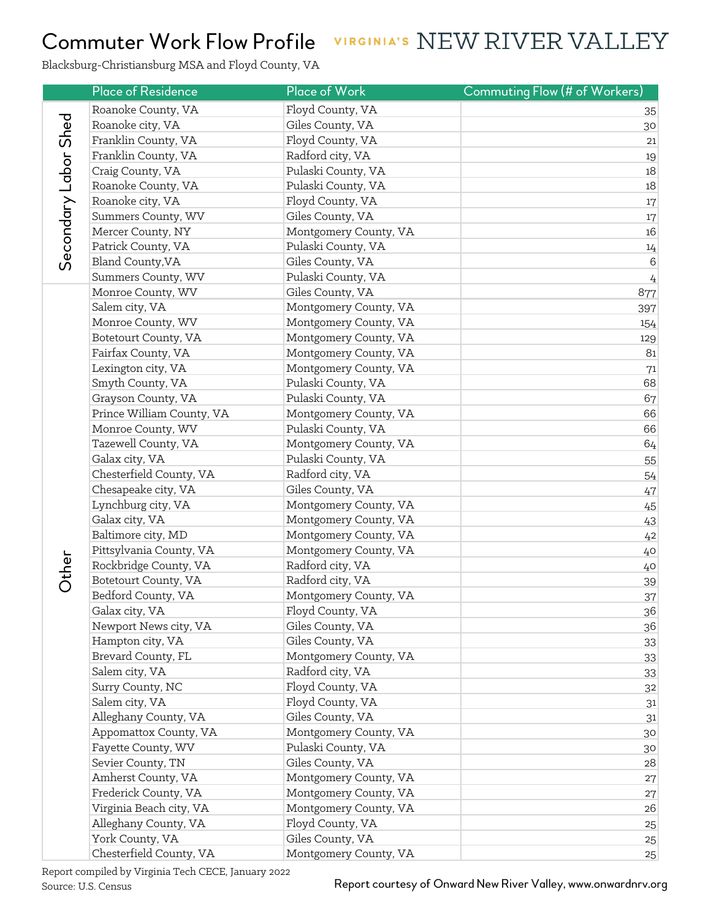## VIRGINIA'S NEW RIVER VALLEY Commuter Work Flow Profile

Blacksburg-Christiansburg MSA and Floyd County, VA

|                      | <b>Place of Residence</b> | Place of Work         | Commuting Flow (# of Workers) |
|----------------------|---------------------------|-----------------------|-------------------------------|
| Secondary Labor Shed | Roanoke County, VA        | Floyd County, VA      | 35                            |
|                      | Roanoke city, VA          | Giles County, VA      | 30                            |
|                      | Franklin County, VA       | Floyd County, VA      | 21                            |
|                      | Franklin County, VA       | Radford city, VA      | 19                            |
|                      | Craig County, VA          | Pulaski County, VA    | 18                            |
|                      | Roanoke County, VA        | Pulaski County, VA    | 18                            |
|                      | Roanoke city, VA          | Floyd County, VA      | 17                            |
|                      | Summers County, WV        | Giles County, VA      | 17                            |
|                      | Mercer County, NY         | Montgomery County, VA | 16                            |
|                      | Patrick County, VA        | Pulaski County, VA    | $14\,$                        |
|                      | Bland County, VA          | Giles County, VA      | $\,6$                         |
|                      | Summers County, WV        | Pulaski County, VA    | $\frac{1}{4}$                 |
|                      | Monroe County, WV         | Giles County, VA      | 877                           |
|                      | Salem city, VA            | Montgomery County, VA | 397                           |
|                      | Monroe County, WV         | Montgomery County, VA | 154                           |
|                      | Botetourt County, VA      | Montgomery County, VA | 129                           |
|                      | Fairfax County, VA        | Montgomery County, VA | 81                            |
|                      | Lexington city, VA        | Montgomery County, VA | 71                            |
|                      | Smyth County, VA          | Pulaski County, VA    | 68                            |
|                      | Grayson County, VA        | Pulaski County, VA    | 67                            |
|                      | Prince William County, VA | Montgomery County, VA | 66                            |
|                      | Monroe County, WV         | Pulaski County, VA    | 66                            |
|                      | Tazewell County, VA       | Montgomery County, VA | 64                            |
|                      | Galax city, VA            | Pulaski County, VA    | 55                            |
|                      | Chesterfield County, VA   | Radford city, VA      | 54                            |
|                      | Chesapeake city, VA       | Giles County, VA      | 47                            |
|                      | Lynchburg city, VA        | Montgomery County, VA | 45                            |
|                      | Galax city, VA            | Montgomery County, VA | 43                            |
|                      | Baltimore city, MD        | Montgomery County, VA | 42                            |
|                      | Pittsylvania County, VA   | Montgomery County, VA | 40                            |
| <b>Dther</b>         | Rockbridge County, VA     | Radford city, VA      | $40$                          |
|                      | Botetourt County, VA      | Radford city, VA      | 39                            |
|                      | Bedford County, VA        | Montgomery County, VA | 37                            |
|                      | Galax city, VA            | Floyd County, VA      | 36                            |
|                      | Newport News city, VA     | Giles County, VA      | 36                            |
|                      | Hampton city, VA          | Giles County, VA      | 33                            |
|                      | Brevard County, FL        | Montgomery County, VA | 33                            |
|                      | Salem city, VA            | Radford city, VA      | 33                            |
|                      | Surry County, NC          | Floyd County, VA      | 32                            |
|                      | Salem city, VA            | Floyd County, VA      | 31                            |
|                      | Alleghany County, VA      | Giles County, VA      | 31                            |
|                      | Appomattox County, VA     | Montgomery County, VA | 30                            |
|                      | Fayette County, WV        | Pulaski County, VA    | 30                            |
|                      | Sevier County, TN         | Giles County, VA      | 28                            |
|                      | Amherst County, VA        | Montgomery County, VA | 27                            |
|                      | Frederick County, VA      | Montgomery County, VA | 27                            |
|                      | Virginia Beach city, VA   | Montgomery County, VA | 26                            |
|                      | Alleghany County, VA      | Floyd County, VA      | 25                            |
|                      | York County, VA           | Giles County, VA      | 25                            |
|                      | Chesterfield County, VA   | Montgomery County, VA | 25                            |

Report compiled by Virginia Tech CECE, January 2022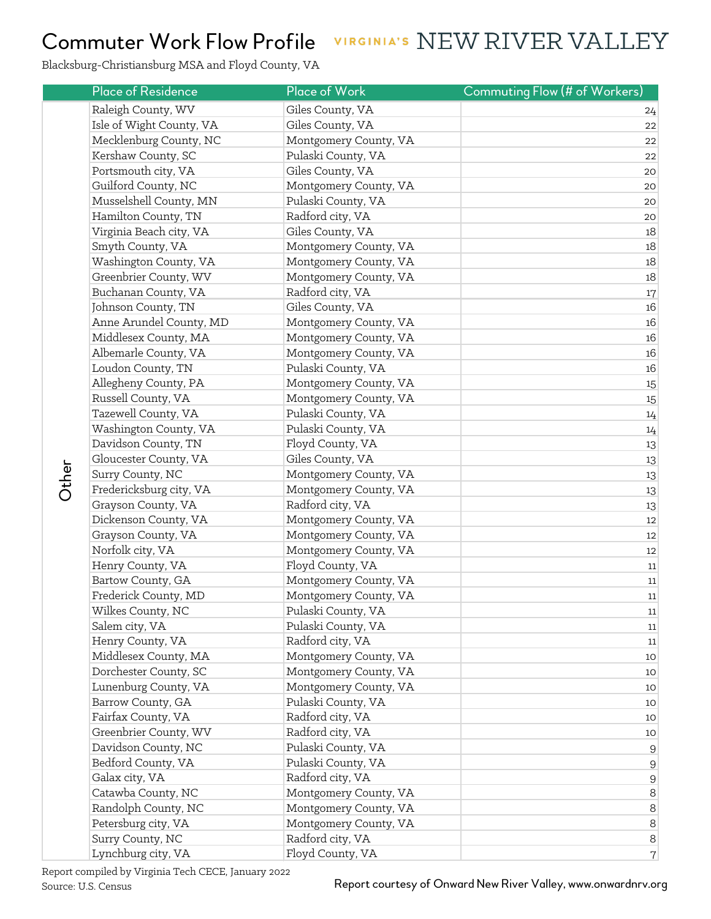## Commuter Work Flow Profile VIRGINIA'S NEW RIVER VALLEY

Blacksburg-Christiansburg MSA and Floyd County, VA

|  | <b>Place of Residence</b> | Place of Work         | Commuting Flow (# of Workers) |
|--|---------------------------|-----------------------|-------------------------------|
|  | Raleigh County, WV        | Giles County, VA      | 24                            |
|  | Isle of Wight County, VA  | Giles County, VA      | 22                            |
|  | Mecklenburg County, NC    | Montgomery County, VA | 22                            |
|  | Kershaw County, SC        | Pulaski County, VA    | 22                            |
|  | Portsmouth city, VA       | Giles County, VA      | 20                            |
|  | Guilford County, NC       | Montgomery County, VA | 20                            |
|  | Musselshell County, MN    | Pulaski County, VA    | 20                            |
|  | Hamilton County, TN       | Radford city, VA      | 20                            |
|  | Virginia Beach city, VA   | Giles County, VA      | 18                            |
|  | Smyth County, VA          | Montgomery County, VA | 18                            |
|  | Washington County, VA     | Montgomery County, VA | 18                            |
|  | Greenbrier County, WV     | Montgomery County, VA | 18                            |
|  | Buchanan County, VA       | Radford city, VA      | 17                            |
|  | Johnson County, TN        | Giles County, VA      | 16                            |
|  | Anne Arundel County, MD   | Montgomery County, VA | 16                            |
|  | Middlesex County, MA      | Montgomery County, VA | 16                            |
|  | Albemarle County, VA      | Montgomery County, VA | 16                            |
|  | Loudon County, TN         | Pulaski County, VA    | 16                            |
|  | Allegheny County, PA      | Montgomery County, VA | 15                            |
|  | Russell County, VA        | Montgomery County, VA | 15                            |
|  | Tazewell County, VA       | Pulaski County, VA    | 14                            |
|  | Washington County, VA     | Pulaski County, VA    | 14                            |
|  | Davidson County, TN       | Floyd County, VA      | 13                            |
|  | Gloucester County, VA     | Giles County, VA      | 13                            |
|  | Surry County, NC          | Montgomery County, VA | 13                            |
|  | Fredericksburg city, VA   | Montgomery County, VA | 13                            |
|  | Grayson County, VA        | Radford city, VA      | 13                            |
|  | Dickenson County, VA      | Montgomery County, VA | 12                            |
|  | Grayson County, VA        | Montgomery County, VA | 12                            |
|  | Norfolk city, VA          | Montgomery County, VA | 12                            |
|  | Henry County, VA          | Floyd County, VA      | 11                            |
|  | Bartow County, GA         | Montgomery County, VA | 11                            |
|  | Frederick County, MD      | Montgomery County, VA | 11                            |
|  | Wilkes County, NC         | Pulaski County, VA    | 11                            |
|  | Salem city, VA            | Pulaski County, VA    | 11                            |
|  | Henry County, VA          | Radford city, VA      | 11                            |
|  | Middlesex County, MA      | Montgomery County, VA | 10                            |
|  | Dorchester County, SC     | Montgomery County, VA | 10                            |
|  | Lunenburg County, VA      | Montgomery County, VA | 10                            |
|  | Barrow County, GA         | Pulaski County, VA    | 10                            |
|  | Fairfax County, VA        | Radford city, VA      | 10                            |
|  | Greenbrier County, WV     | Radford city, VA      | 10                            |
|  | Davidson County, NC       | Pulaski County, VA    | $9$                           |
|  | Bedford County, VA        | Pulaski County, VA    | $9$                           |
|  | Galax city, VA            | Radford city, VA      | $9$                           |
|  | Catawba County, NC        | Montgomery County, VA | $\,8\,$                       |
|  | Randolph County, NC       | Montgomery County, VA | $\,8\,$                       |
|  | Petersburg city, VA       | Montgomery County, VA | $\,8\,$                       |
|  | Surry County, NC          | Radford city, VA      | $\,8\,$                       |
|  | Lynchburg city, VA        | Floyd County, VA      | $\boldsymbol{7}$              |

Report compiled by Virginia Tech CECE, January 2022

Other